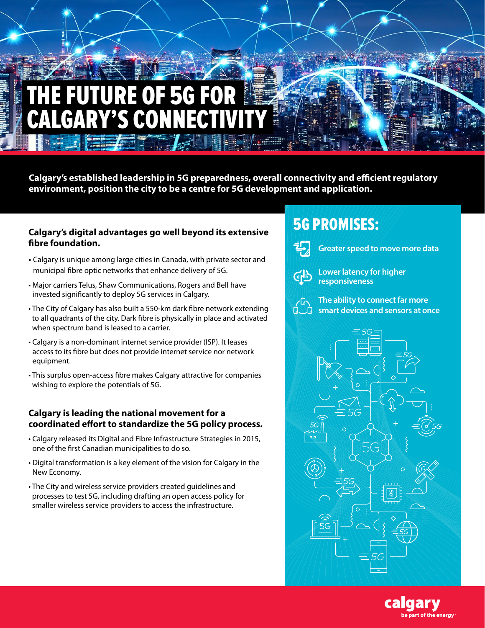# RE OF 5G FOR 'S CON

**Calgary's established leadership in 5G preparedness, overall connectivity and efficient regulatory environment, position the city to be a centre for 5G development and application.**

#### **Calgary's digital advantages go well beyond its extensive fibre foundation.**

- **•** Calgary is unique among large cities in Canada, with private sector and municipal fibre optic networks that enhance delivery of 5G.
- Major carriers Telus, Shaw Communications, Rogers and Bell have invested significantly to deploy 5G services in Calgary.
- The City of Calgary has also built a 550-km dark fibre network extending to all quadrants of the city. Dark fibre is physically in place and activated when spectrum band is leased to a carrier.
- Calgary is a non-dominant internet service provider (ISP). It leases access to its fibre but does not provide internet service nor network equipment.
- This surplus open-access fibre makes Calgary attractive for companies wishing to explore the potentials of 5G.

### **Calgary is leading the national movement for a coordinated effort to standardize the 5G policy process.**

- Calgary released its Digital and Fibre Infrastructure Strategies in 2015, one of the first Canadian municipalities to do so.
- Digital transformation is a key element of the vision for Calgary in the New Economy.
- The City and wireless service providers created guidelines and processes to test 5G, including drafting an open access policy for smaller wireless service providers to access the infrastructure.

### 5G PROMISES:



**Greater speed to move more data**



**Lower latency for higher responsiveness**



**The ability to connect far more smart devices and sensors at once**